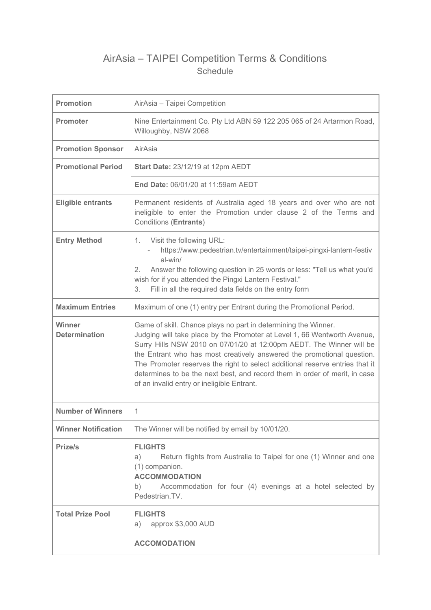# AirAsia – TAIPEI Competition Terms & Conditions Schedule

| <b>Promotion</b>               | AirAsia - Taipei Competition                                                                                                                                                                                                                                                                                                                                                                                                                                                                             |
|--------------------------------|----------------------------------------------------------------------------------------------------------------------------------------------------------------------------------------------------------------------------------------------------------------------------------------------------------------------------------------------------------------------------------------------------------------------------------------------------------------------------------------------------------|
| <b>Promoter</b>                | Nine Entertainment Co. Pty Ltd ABN 59 122 205 065 of 24 Artarmon Road,<br>Willoughby, NSW 2068                                                                                                                                                                                                                                                                                                                                                                                                           |
| <b>Promotion Sponsor</b>       | AirAsia                                                                                                                                                                                                                                                                                                                                                                                                                                                                                                  |
| <b>Promotional Period</b>      | <b>Start Date: 23/12/19 at 12pm AEDT</b>                                                                                                                                                                                                                                                                                                                                                                                                                                                                 |
|                                | End Date: 06/01/20 at 11:59am AEDT                                                                                                                                                                                                                                                                                                                                                                                                                                                                       |
| <b>Eligible entrants</b>       | Permanent residents of Australia aged 18 years and over who are not<br>ineligible to enter the Promotion under clause 2 of the Terms and<br><b>Conditions (Entrants)</b>                                                                                                                                                                                                                                                                                                                                 |
| <b>Entry Method</b>            | 1. Visit the following URL:<br>https://www.pedestrian.tv/entertainment/taipei-pingxi-lantern-festiv<br>al-win/<br>Answer the following question in 25 words or less: "Tell us what you'd<br>2.<br>wish for if you attended the Pingxi Lantern Festival."<br>Fill in all the required data fields on the entry form<br>3.                                                                                                                                                                                 |
| <b>Maximum Entries</b>         | Maximum of one (1) entry per Entrant during the Promotional Period.                                                                                                                                                                                                                                                                                                                                                                                                                                      |
| Winner<br><b>Determination</b> | Game of skill. Chance plays no part in determining the Winner.<br>Judging will take place by the Promoter at Level 1, 66 Wentworth Avenue,<br>Surry Hills NSW 2010 on 07/01/20 at 12:00pm AEDT. The Winner will be<br>the Entrant who has most creatively answered the promotional question.<br>The Promoter reserves the right to select additional reserve entries that it<br>determines to be the next best, and record them in order of merit, in case<br>of an invalid entry or ineligible Entrant. |
| <b>Number of Winners</b>       | 1                                                                                                                                                                                                                                                                                                                                                                                                                                                                                                        |
| <b>Winner Notification</b>     | The Winner will be notified by email by 10/01/20.                                                                                                                                                                                                                                                                                                                                                                                                                                                        |
| Prize/s                        | <b>FLIGHTS</b><br>Return flights from Australia to Taipei for one (1) Winner and one<br>a)<br>(1) companion.<br><b>ACCOMMODATION</b><br>Accommodation for four (4) evenings at a hotel selected by<br>b)<br>Pedestrian.TV.                                                                                                                                                                                                                                                                               |
| <b>Total Prize Pool</b>        | <b>FLIGHTS</b><br>approx \$3,000 AUD<br>a)<br><b>ACCOMODATION</b>                                                                                                                                                                                                                                                                                                                                                                                                                                        |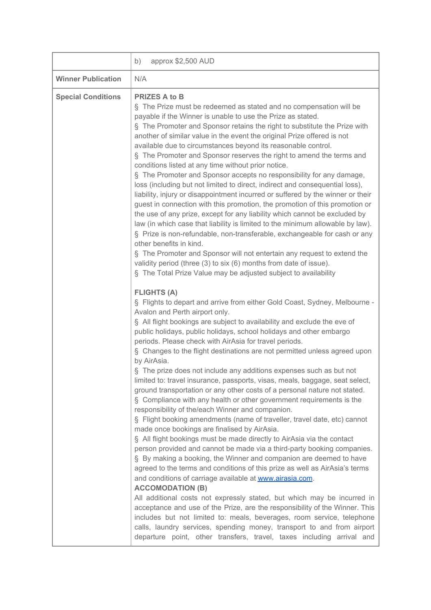|                           | approx \$2,500 AUD<br>b)                                                                                                                                                                                                                                                                                                                                                                                                                                                                                                                                                                                                                                                                                                                                                                                                                                                                                                                                                                                                                                                                                                                                                                                                                                                                                                                                                                                                                                                                                                                                                                                                                                                                                                                                                                                                                                                                                                                                                                                                                                                                                                                                                                                                                                                                                                                                                                                                                                                                                                                                                                                                                                                                                                                                                                                                                                                                                               |
|---------------------------|------------------------------------------------------------------------------------------------------------------------------------------------------------------------------------------------------------------------------------------------------------------------------------------------------------------------------------------------------------------------------------------------------------------------------------------------------------------------------------------------------------------------------------------------------------------------------------------------------------------------------------------------------------------------------------------------------------------------------------------------------------------------------------------------------------------------------------------------------------------------------------------------------------------------------------------------------------------------------------------------------------------------------------------------------------------------------------------------------------------------------------------------------------------------------------------------------------------------------------------------------------------------------------------------------------------------------------------------------------------------------------------------------------------------------------------------------------------------------------------------------------------------------------------------------------------------------------------------------------------------------------------------------------------------------------------------------------------------------------------------------------------------------------------------------------------------------------------------------------------------------------------------------------------------------------------------------------------------------------------------------------------------------------------------------------------------------------------------------------------------------------------------------------------------------------------------------------------------------------------------------------------------------------------------------------------------------------------------------------------------------------------------------------------------------------------------------------------------------------------------------------------------------------------------------------------------------------------------------------------------------------------------------------------------------------------------------------------------------------------------------------------------------------------------------------------------------------------------------------------------------------------------------------------------|
| <b>Winner Publication</b> | N/A                                                                                                                                                                                                                                                                                                                                                                                                                                                                                                                                                                                                                                                                                                                                                                                                                                                                                                                                                                                                                                                                                                                                                                                                                                                                                                                                                                                                                                                                                                                                                                                                                                                                                                                                                                                                                                                                                                                                                                                                                                                                                                                                                                                                                                                                                                                                                                                                                                                                                                                                                                                                                                                                                                                                                                                                                                                                                                                    |
| <b>Special Conditions</b> | <b>PRIZES A to B</b><br>§ The Prize must be redeemed as stated and no compensation will be<br>payable if the Winner is unable to use the Prize as stated.<br>§ The Promoter and Sponsor retains the right to substitute the Prize with<br>another of similar value in the event the original Prize offered is not<br>available due to circumstances beyond its reasonable control.<br>§ The Promoter and Sponsor reserves the right to amend the terms and<br>conditions listed at any time without prior notice.<br>§ The Promoter and Sponsor accepts no responsibility for any damage,<br>loss (including but not limited to direct, indirect and consequential loss),<br>liability, injury or disappointment incurred or suffered by the winner or their<br>guest in connection with this promotion, the promotion of this promotion or<br>the use of any prize, except for any liability which cannot be excluded by<br>law (in which case that liability is limited to the minimum allowable by law).<br>§ Prize is non-refundable, non-transferable, exchangeable for cash or any<br>other benefits in kind.<br>§ The Promoter and Sponsor will not entertain any request to extend the<br>validity period (three (3) to six (6) months from date of issue).<br>§ The Total Prize Value may be adjusted subject to availability<br><b>FLIGHTS (A)</b><br>§ Flights to depart and arrive from either Gold Coast, Sydney, Melbourne -<br>Avalon and Perth airport only.<br>§ All flight bookings are subject to availability and exclude the eve of<br>public holidays, public holidays, school holidays and other embargo<br>periods. Please check with AirAsia for travel periods.<br>§ Changes to the flight destinations are not permitted unless agreed upon<br>by AirAsia.<br>§ The prize does not include any additions expenses such as but not<br>limited to: travel insurance, passports, visas, meals, baggage, seat select,<br>ground transportation or any other costs of a personal nature not stated.<br>§ Compliance with any health or other government requirements is the<br>responsibility of the/each Winner and companion.<br>§ Flight booking amendments (name of traveller, travel date, etc) cannot<br>made once bookings are finalised by AirAsia.<br>§ All flight bookings must be made directly to AirAsia via the contact<br>person provided and cannot be made via a third-party booking companies.<br>§ By making a booking, the Winner and companion are deemed to have<br>agreed to the terms and conditions of this prize as well as AirAsia's terms<br>and conditions of carriage available at www.airasia.com.<br><b>ACCOMODATION (B)</b><br>All additional costs not expressly stated, but which may be incurred in<br>acceptance and use of the Prize, are the responsibility of the Winner. This<br>includes but not limited to: meals, beverages, room service, telephone |
|                           | calls, laundry services, spending money, transport to and from airport<br>departure point, other transfers, travel, taxes including arrival and                                                                                                                                                                                                                                                                                                                                                                                                                                                                                                                                                                                                                                                                                                                                                                                                                                                                                                                                                                                                                                                                                                                                                                                                                                                                                                                                                                                                                                                                                                                                                                                                                                                                                                                                                                                                                                                                                                                                                                                                                                                                                                                                                                                                                                                                                                                                                                                                                                                                                                                                                                                                                                                                                                                                                                        |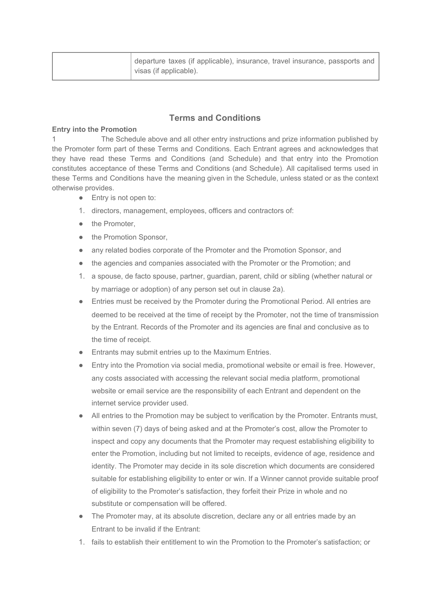|  | departure taxes (if applicable), insurance, travel insurance, passports and<br>visas (if applicable). |
|--|-------------------------------------------------------------------------------------------------------|
|--|-------------------------------------------------------------------------------------------------------|

# **Terms and Conditions**

### **Entry into the Promotion**

1 The Schedule above and all other entry instructions and prize information published by the Promoter form part of these Terms and Conditions. Each Entrant agrees and acknowledges that they have read these Terms and Conditions (and Schedule) and that entry into the Promotion constitutes acceptance of these Terms and Conditions (and Schedule). All capitalised terms used in these Terms and Conditions have the meaning given in the Schedule, unless stated or as the context otherwise provides.

- Entry is not open to:
- 1. directors, management, employees, officers and contractors of:
- the Promoter.
- the Promotion Sponsor,
- any related bodies corporate of the Promoter and the Promotion Sponsor, and
- the agencies and companies associated with the Promoter or the Promotion; and
- 1. a spouse, de facto spouse, partner, guardian, parent, child or sibling (whether natural or by marriage or adoption) of any person set out in clause 2a).
- Entries must be received by the Promoter during the Promotional Period. All entries are deemed to be received at the time of receipt by the Promoter, not the time of transmission by the Entrant. Records of the Promoter and its agencies are final and conclusive as to the time of receipt.
- Entrants may submit entries up to the Maximum Entries.
- Entry into the Promotion via social media, promotional website or email is free. However, any costs associated with accessing the relevant social media platform, promotional website or email service are the responsibility of each Entrant and dependent on the internet service provider used.
- All entries to the Promotion may be subject to verification by the Promoter. Entrants must, within seven (7) days of being asked and at the Promoter's cost, allow the Promoter to inspect and copy any documents that the Promoter may request establishing eligibility to enter the Promotion, including but not limited to receipts, evidence of age, residence and identity. The Promoter may decide in its sole discretion which documents are considered suitable for establishing eligibility to enter or win. If a Winner cannot provide suitable proof of eligibility to the Promoter's satisfaction, they forfeit their Prize in whole and no substitute or compensation will be offered.
- The Promoter may, at its absolute discretion, declare any or all entries made by an Entrant to be invalid if the Entrant:
- 1. fails to establish their entitlement to win the Promotion to the Promoter's satisfaction; or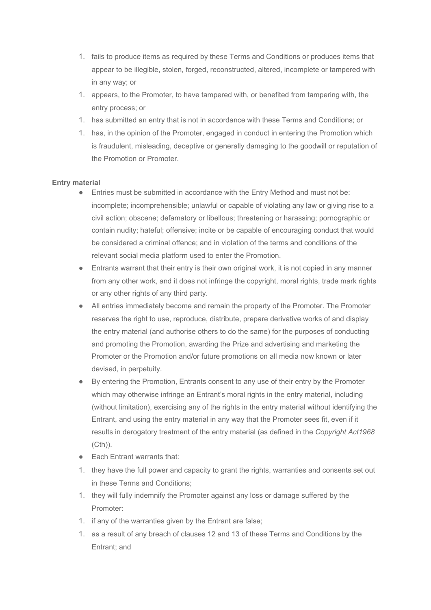- 1. fails to produce items as required by these Terms and Conditions or produces items that appear to be illegible, stolen, forged, reconstructed, altered, incomplete or tampered with in any way; or
- 1. appears, to the Promoter, to have tampered with, or benefited from tampering with, the entry process; or
- 1. has submitted an entry that is not in accordance with these Terms and Conditions; or
- 1. has, in the opinion of the Promoter, engaged in conduct in entering the Promotion which is fraudulent, misleading, deceptive or generally damaging to the goodwill or reputation of the Promotion or Promoter.

# **Entry material**

- Entries must be submitted in accordance with the Entry Method and must not be: incomplete; incomprehensible; unlawful or capable of violating any law or giving rise to a civil action; obscene; defamatory or libellous; threatening or harassing; pornographic or contain nudity; hateful; offensive; incite or be capable of encouraging conduct that would be considered a criminal offence; and in violation of the terms and conditions of the relevant social media platform used to enter the Promotion.
- Entrants warrant that their entry is their own original work, it is not copied in any manner from any other work, and it does not infringe the copyright, moral rights, trade mark rights or any other rights of any third party.
- All entries immediately become and remain the property of the Promoter. The Promoter reserves the right to use, reproduce, distribute, prepare derivative works of and display the entry material (and authorise others to do the same) for the purposes of conducting and promoting the Promotion, awarding the Prize and advertising and marketing the Promoter or the Promotion and/or future promotions on all media now known or later devised, in perpetuity.
- By entering the Promotion, Entrants consent to any use of their entry by the Promoter which may otherwise infringe an Entrant's moral rights in the entry material, including (without limitation), exercising any of the rights in the entry material without identifying the Entrant, and using the entry material in any way that the Promoter sees fit, even if it results in derogatory treatment of the entry material (as defined in the *Copyright Act1968* (Cth)).
- Each Entrant warrants that:
- 1. they have the full power and capacity to grant the rights, warranties and consents set out in these Terms and Conditions;
- 1. they will fully indemnify the Promoter against any loss or damage suffered by the Promoter:
- 1. if any of the warranties given by the Entrant are false;
- 1. as a result of any breach of clauses 12 and 13 of these Terms and Conditions by the Entrant; and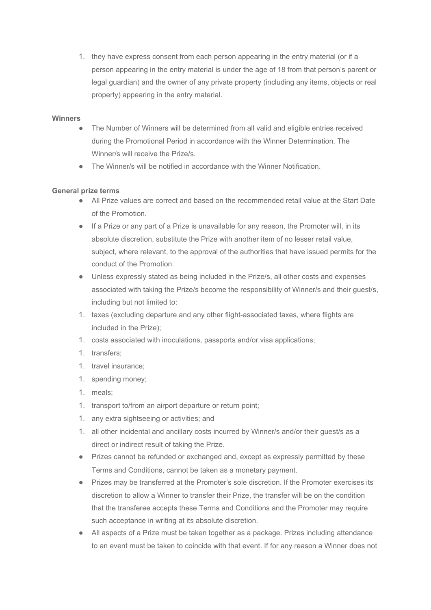1. they have express consent from each person appearing in the entry material (or if a person appearing in the entry material is under the age of 18 from that person's parent or legal guardian) and the owner of any private property (including any items, objects or real property) appearing in the entry material.

### **Winners**

- The Number of Winners will be determined from all valid and eligible entries received during the Promotional Period in accordance with the Winner Determination. The Winner/s will receive the Prize/s.
- The Winner/s will be notified in accordance with the Winner Notification.

# **General prize terms**

- All Prize values are correct and based on the recommended retail value at the Start Date of the Promotion.
- If a Prize or any part of a Prize is unavailable for any reason, the Promoter will, in its absolute discretion, substitute the Prize with another item of no lesser retail value, subject, where relevant, to the approval of the authorities that have issued permits for the conduct of the Promotion.
- Unless expressly stated as being included in the Prize/s, all other costs and expenses associated with taking the Prize/s become the responsibility of Winner/s and their guest/s, including but not limited to:
- 1. taxes (excluding departure and any other flight-associated taxes, where flights are included in the Prize);
- 1. costs associated with inoculations, passports and/or visa applications;
- 1. transfers;
- 1. travel insurance;
- 1. spending money;
- 1. meals;
- 1. transport to/from an airport departure or return point;
- 1. any extra sightseeing or activities; and
- 1. all other incidental and ancillary costs incurred by Winner/s and/or their guest/s as a direct or indirect result of taking the Prize.
- Prizes cannot be refunded or exchanged and, except as expressly permitted by these Terms and Conditions, cannot be taken as a monetary payment.
- Prizes may be transferred at the Promoter's sole discretion. If the Promoter exercises its discretion to allow a Winner to transfer their Prize, the transfer will be on the condition that the transferee accepts these Terms and Conditions and the Promoter may require such acceptance in writing at its absolute discretion.
- All aspects of a Prize must be taken together as a package. Prizes including attendance to an event must be taken to coincide with that event. If for any reason a Winner does not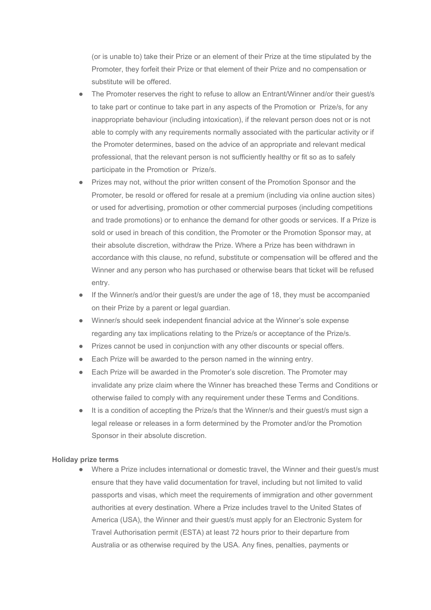(or is unable to) take their Prize or an element of their Prize at the time stipulated by the Promoter, they forfeit their Prize or that element of their Prize and no compensation or substitute will be offered.

- The Promoter reserves the right to refuse to allow an Entrant/Winner and/or their guest/s to take part or continue to take part in any aspects of the Promotion or Prize/s, for any inappropriate behaviour (including intoxication), if the relevant person does not or is not able to comply with any requirements normally associated with the particular activity or if the Promoter determines, based on the advice of an appropriate and relevant medical professional, that the relevant person is not sufficiently healthy or fit so as to safely participate in the Promotion or Prize/s.
- Prizes may not, without the prior written consent of the Promotion Sponsor and the Promoter, be resold or offered for resale at a premium (including via online auction sites) or used for advertising, promotion or other commercial purposes (including competitions and trade promotions) or to enhance the demand for other goods or services. If a Prize is sold or used in breach of this condition, the Promoter or the Promotion Sponsor may, at their absolute discretion, withdraw the Prize. Where a Prize has been withdrawn in accordance with this clause, no refund, substitute or compensation will be offered and the Winner and any person who has purchased or otherwise bears that ticket will be refused entry.
- If the Winner/s and/or their guest/s are under the age of 18, they must be accompanied on their Prize by a parent or legal guardian.
- Winner/s should seek independent financial advice at the Winner's sole expense regarding any tax implications relating to the Prize/s or acceptance of the Prize/s.
- Prizes cannot be used in conjunction with any other discounts or special offers.
- Each Prize will be awarded to the person named in the winning entry.
- Each Prize will be awarded in the Promoter's sole discretion. The Promoter may invalidate any prize claim where the Winner has breached these Terms and Conditions or otherwise failed to comply with any requirement under these Terms and Conditions.
- It is a condition of accepting the Prize/s that the Winner/s and their guest/s must sign a legal release or releases in a form determined by the Promoter and/or the Promotion Sponsor in their absolute discretion.

#### **Holiday prize terms**

● Where a Prize includes international or domestic travel, the Winner and their guest/s must ensure that they have valid documentation for travel, including but not limited to valid passports and visas, which meet the requirements of immigration and other government authorities at every destination. Where a Prize includes travel to the United States of America (USA), the Winner and their guest/s must apply for an Electronic System for Travel Authorisation permit (ESTA) at least 72 hours prior to their departure from Australia or as otherwise required by the USA. Any fines, penalties, payments or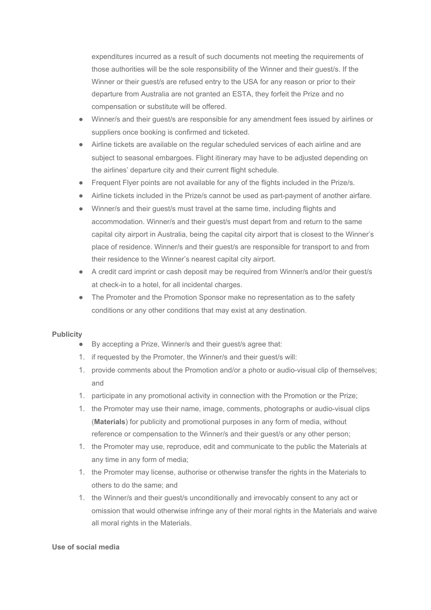expenditures incurred as a result of such documents not meeting the requirements of those authorities will be the sole responsibility of the Winner and their guest/s. If the Winner or their guest/s are refused entry to the USA for any reason or prior to their departure from Australia are not granted an ESTA, they forfeit the Prize and no compensation or substitute will be offered.

- Winner/s and their guest/s are responsible for any amendment fees issued by airlines or suppliers once booking is confirmed and ticketed.
- Airline tickets are available on the regular scheduled services of each airline and are subject to seasonal embargoes. Flight itinerary may have to be adjusted depending on the airlines' departure city and their current flight schedule.
- Frequent Flyer points are not available for any of the flights included in the Prize/s.
- Airline tickets included in the Prize/s cannot be used as part-payment of another airfare.
- Winner/s and their guest/s must travel at the same time, including flights and accommodation. Winner/s and their guest/s must depart from and return to the same capital city airport in Australia, being the capital city airport that is closest to the Winner's place of residence. Winner/s and their guest/s are responsible for transport to and from their residence to the Winner's nearest capital city airport.
- A credit card imprint or cash deposit may be required from Winner/s and/or their quest/s at check-in to a hotel, for all incidental charges.
- The Promoter and the Promotion Sponsor make no representation as to the safety conditions or any other conditions that may exist at any destination.

### **Publicity**

- By accepting a Prize, Winner/s and their guest/s agree that:
- 1. if requested by the Promoter, the Winner/s and their guest/s will:
- 1. provide comments about the Promotion and/or a photo or audio-visual clip of themselves; and
- 1. participate in any promotional activity in connection with the Promotion or the Prize;
- 1. the Promoter may use their name, image, comments, photographs or audio-visual clips (**Materials**) for publicity and promotional purposes in any form of media, without reference or compensation to the Winner/s and their guest/s or any other person;
- 1. the Promoter may use, reproduce, edit and communicate to the public the Materials at any time in any form of media;
- 1. the Promoter may license, authorise or otherwise transfer the rights in the Materials to others to do the same; and
- 1. the Winner/s and their guest/s unconditionally and irrevocably consent to any act or omission that would otherwise infringe any of their moral rights in the Materials and waive all moral rights in the Materials.

### **Use of social media**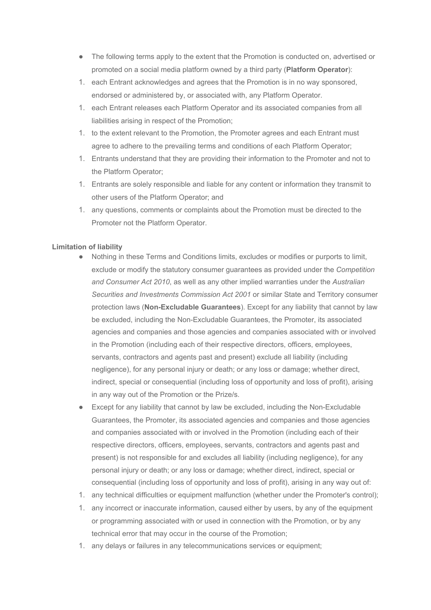- The following terms apply to the extent that the Promotion is conducted on, advertised or promoted on a social media platform owned by a third party (**Platform Operator**):
- 1. each Entrant acknowledges and agrees that the Promotion is in no way sponsored, endorsed or administered by, or associated with, any Platform Operator.
- 1. each Entrant releases each Platform Operator and its associated companies from all liabilities arising in respect of the Promotion;
- 1. to the extent relevant to the Promotion, the Promoter agrees and each Entrant must agree to adhere to the prevailing terms and conditions of each Platform Operator;
- 1. Entrants understand that they are providing their information to the Promoter and not to the Platform Operator;
- 1. Entrants are solely responsible and liable for any content or information they transmit to other users of the Platform Operator; and
- 1. any questions, comments or complaints about the Promotion must be directed to the Promoter not the Platform Operator.

# **Limitation of liability**

- Nothing in these Terms and Conditions limits, excludes or modifies or purports to limit, exclude or modify the statutory consumer guarantees as provided under the *Competition and Consumer Act 2010*, as well as any other implied warranties under the *Australian Securities and Investments Commission Act 2001* or similar State and Territory consumer protection laws (**Non-Excludable Guarantees**). Except for any liability that cannot by law be excluded, including the Non-Excludable Guarantees, the Promoter, its associated agencies and companies and those agencies and companies associated with or involved in the Promotion (including each of their respective directors, officers, employees, servants, contractors and agents past and present) exclude all liability (including negligence), for any personal injury or death; or any loss or damage; whether direct, indirect, special or consequential (including loss of opportunity and loss of profit), arising in any way out of the Promotion or the Prize/s.
- Except for any liability that cannot by law be excluded, including the Non-Excludable Guarantees, the Promoter, its associated agencies and companies and those agencies and companies associated with or involved in the Promotion (including each of their respective directors, officers, employees, servants, contractors and agents past and present) is not responsible for and excludes all liability (including negligence), for any personal injury or death; or any loss or damage; whether direct, indirect, special or consequential (including loss of opportunity and loss of profit), arising in any way out of:
- 1. any technical difficulties or equipment malfunction (whether under the Promoter's control);
- 1. any incorrect or inaccurate information, caused either by users, by any of the equipment or programming associated with or used in connection with the Promotion, or by any technical error that may occur in the course of the Promotion;
- 1. any delays or failures in any telecommunications services or equipment;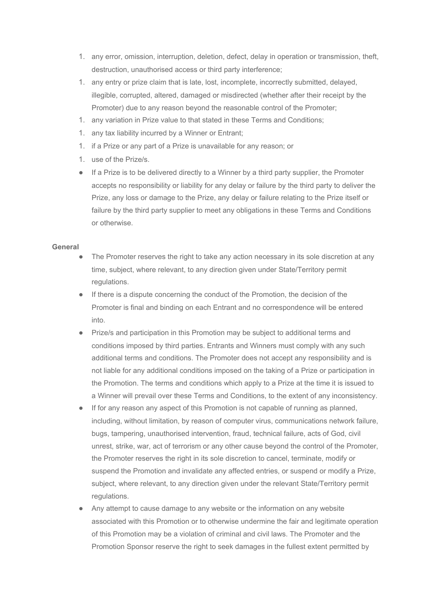- 1. any error, omission, interruption, deletion, defect, delay in operation or transmission, theft, destruction, unauthorised access or third party interference;
- 1. any entry or prize claim that is late, lost, incomplete, incorrectly submitted, delayed, illegible, corrupted, altered, damaged or misdirected (whether after their receipt by the Promoter) due to any reason beyond the reasonable control of the Promoter;
- 1. any variation in Prize value to that stated in these Terms and Conditions;
- 1. any tax liability incurred by a Winner or Entrant;
- 1. if a Prize or any part of a Prize is unavailable for any reason; or
- 1. use of the Prize/s.
- If a Prize is to be delivered directly to a Winner by a third party supplier, the Promoter accepts no responsibility or liability for any delay or failure by the third party to deliver the Prize, any loss or damage to the Prize, any delay or failure relating to the Prize itself or failure by the third party supplier to meet any obligations in these Terms and Conditions or otherwise.

### **General**

- The Promoter reserves the right to take any action necessary in its sole discretion at any time, subject, where relevant, to any direction given under State/Territory permit regulations.
- If there is a dispute concerning the conduct of the Promotion, the decision of the Promoter is final and binding on each Entrant and no correspondence will be entered into.
- Prize/s and participation in this Promotion may be subject to additional terms and conditions imposed by third parties. Entrants and Winners must comply with any such additional terms and conditions. The Promoter does not accept any responsibility and is not liable for any additional conditions imposed on the taking of a Prize or participation in the Promotion. The terms and conditions which apply to a Prize at the time it is issued to a Winner will prevail over these Terms and Conditions, to the extent of any inconsistency.
- If for any reason any aspect of this Promotion is not capable of running as planned, including, without limitation, by reason of computer virus, communications network failure, bugs, tampering, unauthorised intervention, fraud, technical failure, acts of God, civil unrest, strike, war, act of terrorism or any other cause beyond the control of the Promoter, the Promoter reserves the right in its sole discretion to cancel, terminate, modify or suspend the Promotion and invalidate any affected entries, or suspend or modify a Prize, subject, where relevant, to any direction given under the relevant State/Territory permit regulations.
- Any attempt to cause damage to any website or the information on any website associated with this Promotion or to otherwise undermine the fair and legitimate operation of this Promotion may be a violation of criminal and civil laws. The Promoter and the Promotion Sponsor reserve the right to seek damages in the fullest extent permitted by